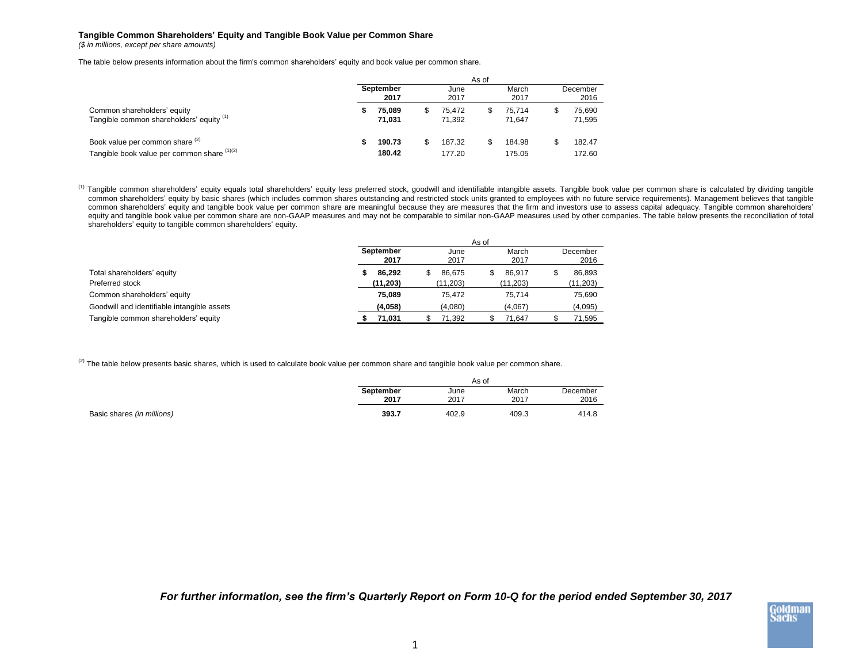## **Tangible Common Shareholders' Equity and Tangible Book Value per Common Share**

*(\$ in millions, except per share amounts)*

The table below presents information about the firm's common shareholders' equity and book value per common share.

|                                                                                | As of             |                  |  |                  |   |                  |                  |                  |  |  |  |
|--------------------------------------------------------------------------------|-------------------|------------------|--|------------------|---|------------------|------------------|------------------|--|--|--|
|                                                                                | September<br>2017 |                  |  | June<br>2017     |   | March<br>2017    | December<br>2016 |                  |  |  |  |
| Common shareholders' equity<br>Tangible common shareholders' equity (1)        |                   | 75.089<br>71.031 |  | 75.472<br>71.392 | S | 75.714<br>71.647 | \$               | 75.690<br>71,595 |  |  |  |
| Book value per common share (2)<br>Tangible book value per common share (1)(2) |                   | 190.73<br>180.42 |  | 187.32<br>177.20 | S | 184.98<br>175.05 | \$               | 182.47<br>172.60 |  |  |  |

<sup>(1)</sup> Tangible common shareholders' equity equals total shareholders' equity less preferred stock, goodwill and identifiable intangible assets. Tangible book value per common share is calculated by dividing tangible common shareholders' equity by basic shares (which includes common shares outstanding and restricted stock units granted to employees with no future service requirements). Management believes that tangible common shareholders' equity and tangible book value per common share are meaningful because they are measures that the firm and investors use to assess capital adequacy. Tangible common shareholders' equity and tangible book value per common share are non-GAAP measures and may not be comparable to similar non-GAAP measures used by other companies. The table below presents the reconciliation of total shareholders' equity to tangible common shareholders' equity.

|                                             | As of             |              |               |                  |  |  |  |  |  |  |
|---------------------------------------------|-------------------|--------------|---------------|------------------|--|--|--|--|--|--|
|                                             | September<br>2017 | June<br>2017 | March<br>2017 | December<br>2016 |  |  |  |  |  |  |
|                                             |                   |              |               |                  |  |  |  |  |  |  |
| Total shareholders' equity                  | 86.292            | 86.675       | 86.917        | 86.893           |  |  |  |  |  |  |
| Preferred stock                             | (11, 203)         | (11, 203)    | (11, 203)     | (11, 203)        |  |  |  |  |  |  |
| Common shareholders' equity                 | 75.089            | 75.472       | 75.714        | 75,690           |  |  |  |  |  |  |
| Goodwill and identifiable intangible assets | (4,058)           | (4,080)      | (4,067)       | (4,095)          |  |  |  |  |  |  |
| Tangible common shareholders' equity        | 71,031            | 71.392       | 71.647        | 71.595           |  |  |  |  |  |  |

 $^{(2)}$  The table below presents basic shares, which is used to calculate book value per common share and tangible book value per common share.

|                            | As of     |       |       |          |  |  |  |  |  |
|----------------------------|-----------|-------|-------|----------|--|--|--|--|--|
|                            | September | June  | March | December |  |  |  |  |  |
|                            | 2017      | 2017  | 2017  | 2016     |  |  |  |  |  |
| Basic shares (in millions) | 393.7     | 402.9 | 409.3 | 414.8    |  |  |  |  |  |

*For further information, see the firm's Quarterly Report on Form 10-Q for the period ended September 30, 2017*